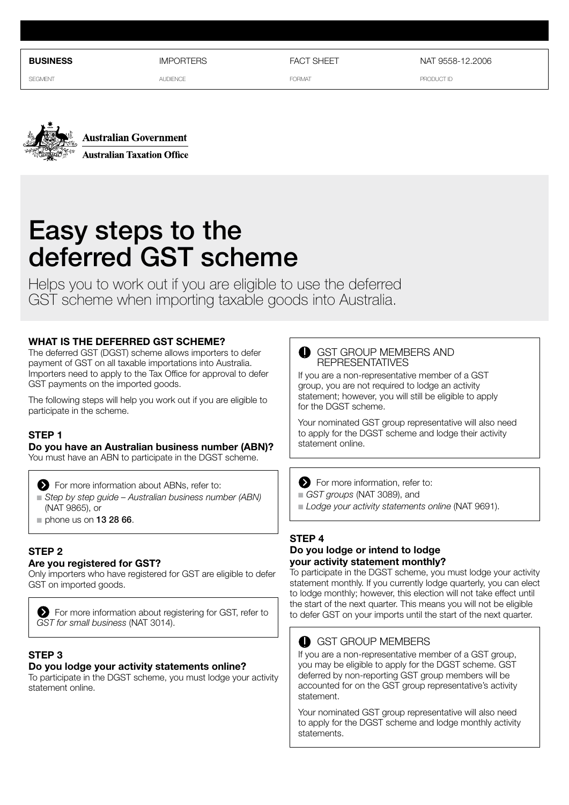**business**

**IMPORTFRS** 

**SEGMENT** 

AUDIENCE

FACT SHEFT

FORMAT

NAT 9558-12.2006

PRODUCT ID





# Easy steps to the deferred GST scheme

Helps you to work out if you are eligible to use the deferred GST scheme when importing taxable goods into Australia.

## **What is the deferred GST scheme?**

The deferred GST (DGST) scheme allows importers to defer payment of GST on all taxable importations into Australia. Importers need to apply to the Tax Office for approval to defer GST payments on the imported goods.

The following steps will help you work out if you are eligible to participate in the scheme.

# **Step 1**

# **Do you have an Australian business number (ABN)?**

You must have an ABN to participate in the DGST scheme.

For more information about ABNs, refer to:

- *Step by step guide Australian business number (ABN)* (NAT 9865), or
- $n$  phone us on 13 28 66.

# **Step 2**

## **Are you registered for GST?**

Only importers who have registered for GST are eligible to defer GST on imported goods.



# **Step 3**

#### **Do you lodge your activity statements online?**

To participate in the DGST scheme, you must lodge your activity statement online.

#### GST GROUP MEMBERS AND REPRESENTATIVES

If you are a non-representative member of a GST group, you are not required to lodge an activity statement; however, you will still be eligible to apply for the DGST scheme.

Your nominated GST group representative will also need to apply for the DGST scheme and lodge their activity statement online.

For more information, refer to:

n *GST groups* (NAT 3089), and

n *Lodge your activity statements online* (NAT 9691).

# **Step 4**

#### **Do you lodge or intend to lodge your activity statement monthly?**

To participate in the DGST scheme, you must lodge your activity statement monthly. If you currently lodge quarterly, you can elect to lodge monthly; however, this election will not take effect until the start of the next quarter. This means you will not be eligible to defer GST on your imports until the start of the next quarter.

# GST GROUP MEMBERS

If you are a non-representative member of a GST group, you may be eligible to apply for the DGST scheme. GST deferred by non-reporting GST group members will be accounted for on the GST group representative's activity statement.

Your nominated GST group representative will also need to apply for the DGST scheme and lodge monthly activity statements.